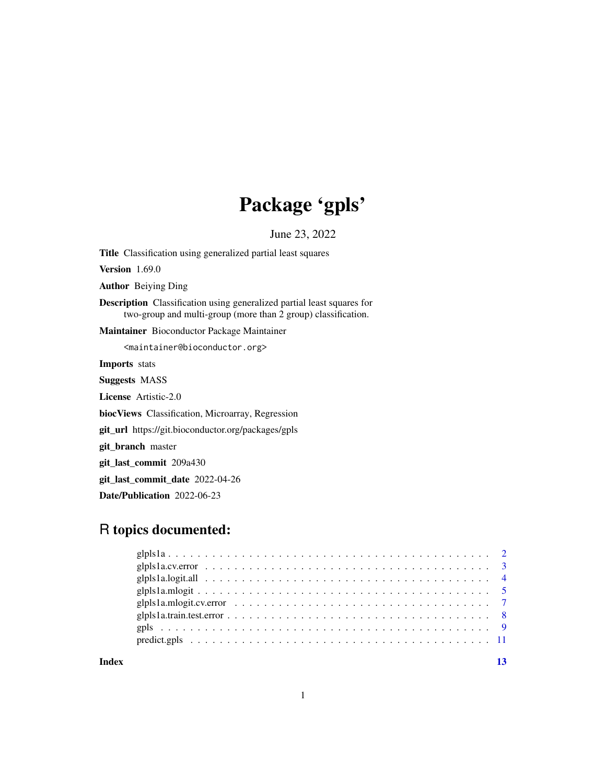## Package 'gpls'

June 23, 2022

Title Classification using generalized partial least squares Version 1.69.0 Author Beiying Ding Description Classification using generalized partial least squares for two-group and multi-group (more than 2 group) classification. Maintainer Bioconductor Package Maintainer <maintainer@bioconductor.org> Imports stats Suggests MASS License Artistic-2.0 biocViews Classification, Microarray, Regression git\_url https://git.bioconductor.org/packages/gpls git\_branch master git\_last\_commit 209a430 git\_last\_commit\_date 2022-04-26 Date/Publication 2022-06-23

### R topics documented:

**Index** [13](#page-12-0)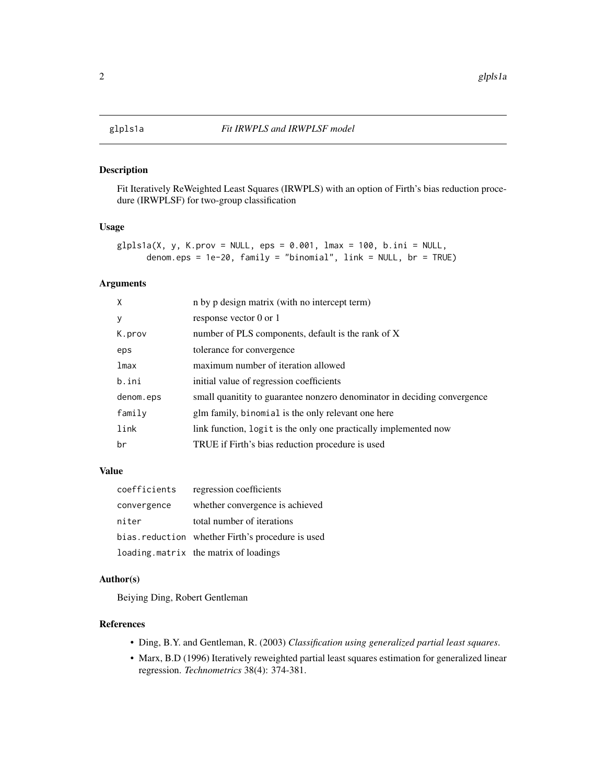#### <span id="page-1-1"></span><span id="page-1-0"></span>Description

Fit Iteratively ReWeighted Least Squares (IRWPLS) with an option of Firth's bias reduction procedure (IRWPLSF) for two-group classification

#### Usage

```
g1p1s1a(X, y, K.prov = NULL, eps = 0.001, lmax = 100, b.ini = NULL,denom.eps = 1e-20, family = "binomial", link = NULL, br = TRUE)
```
#### Arguments

| X         | n by p design matrix (with no intercept term)                            |
|-----------|--------------------------------------------------------------------------|
| y         | response vector 0 or 1                                                   |
| K.prov    | number of PLS components, default is the rank of X                       |
| eps       | tolerance for convergence                                                |
| lmax      | maximum number of iteration allowed                                      |
| b.ini     | initial value of regression coefficients                                 |
| denom.eps | small quanitity to guarantee nonzero denominator in deciding convergence |
| family    | glm family, binomial is the only relevant one here                       |
| link      | link function, logit is the only one practically implemented now         |
| br        | TRUE if Firth's bias reduction procedure is used                         |

#### Value

| coefficients | regression coefficients                           |
|--------------|---------------------------------------------------|
| convergence  | whether convergence is achieved                   |
| niter        | total number of iterations                        |
|              | bias. reduction whether Firth's procedure is used |
|              | loading matrix the matrix of loadings             |

#### Author(s)

Beiying Ding, Robert Gentleman

#### References

- Ding, B.Y. and Gentleman, R. (2003) *Classification using generalized partial least squares*.
- Marx, B.D (1996) Iteratively reweighted partial least squares estimation for generalized linear regression. *Technometrics* 38(4): 374-381.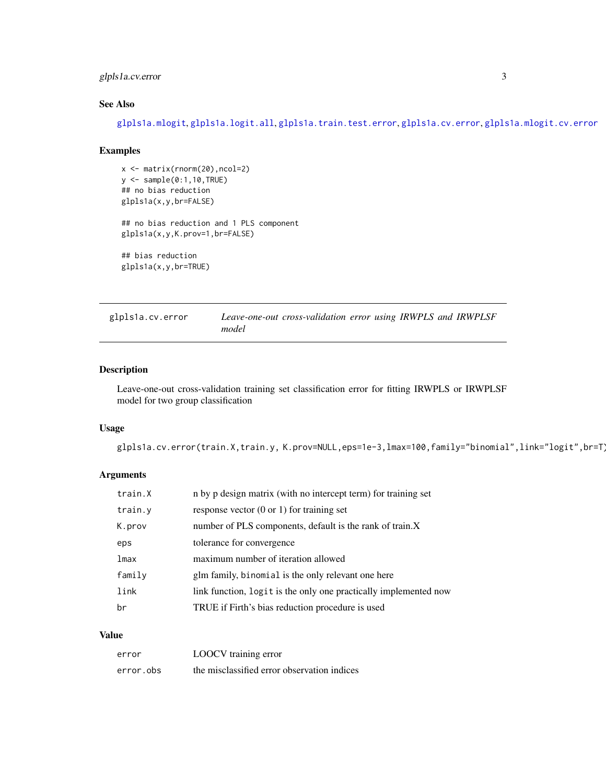#### <span id="page-2-0"></span>glpls1a.cv.error 3

#### See Also

[glpls1a.mlogit](#page-4-1), [glpls1a.logit.all](#page-3-1), [glpls1a.train.test.error](#page-7-1), [glpls1a.cv.error](#page-2-1), [glpls1a.mlogit.cv.error](#page-6-1)

#### Examples

```
x <- matrix(rnorm(20),ncol=2)
y \leftarrow sample(0:1,10,TRUE)
## no bias reduction
glpls1a(x,y,br=FALSE)
## no bias reduction and 1 PLS component
glpls1a(x,y,K.prov=1,br=FALSE)
## bias reduction
glpls1a(x,y,br=TRUE)
```
<span id="page-2-1"></span>

| glpls1a.cv.error |       | Leave-one-out cross-validation error using IRWPLS and IRWPLSF |  |  |  |
|------------------|-------|---------------------------------------------------------------|--|--|--|
|                  | model |                                                               |  |  |  |

#### Description

Leave-one-out cross-validation training set classification error for fitting IRWPLS or IRWPLSF model for two group classification

#### Usage

glpls1a.cv.error(train.X,train.y, K.prov=NULL,eps=1e-3,lmax=100,family="binomial",link="logit",br=T)

#### Arguments

| train.X | n by p design matrix (with no intercept term) for training set   |
|---------|------------------------------------------------------------------|
| train.y | response vector $(0 \text{ or } 1)$ for training set             |
| K.prov  | number of PLS components, default is the rank of train.X         |
| eps     | tolerance for convergence                                        |
| lmax    | maximum number of iteration allowed                              |
| family  | glm family, binomial is the only relevant one here               |
| link    | link function, logit is the only one practically implemented now |
| br      | TRUE if Firth's bias reduction procedure is used                 |

#### Value

| error     | LOOCV training error                        |
|-----------|---------------------------------------------|
| error.obs | the misclassified error observation indices |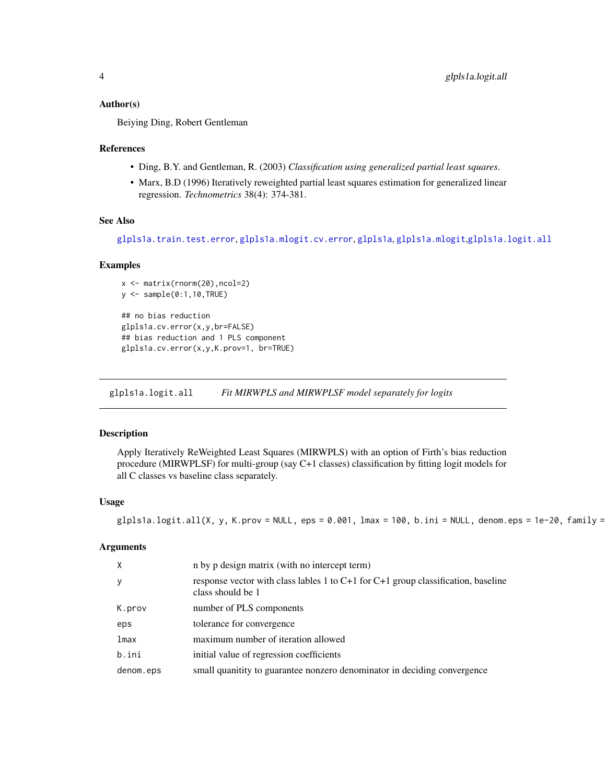#### <span id="page-3-0"></span>Author(s)

Beiying Ding, Robert Gentleman

#### References

- Ding, B.Y. and Gentleman, R. (2003) *Classification using generalized partial least squares*.
- Marx, B.D (1996) Iteratively reweighted partial least squares estimation for generalized linear regression. *Technometrics* 38(4): 374-381.

#### See Also

```
glpls1a.train.test.error, glpls1a.mlogit.cv.error, glpls1a, glpls1a.mlogit,glpls1a.logit.all
```
#### Examples

```
x <- matrix(rnorm(20),ncol=2)
y <- sample(0:1,10,TRUE)
## no bias reduction
glpls1a.cv.error(x,y,br=FALSE)
## bias reduction and 1 PLS component
glpls1a.cv.error(x,y,K.prov=1, br=TRUE)
```
<span id="page-3-1"></span>glpls1a.logit.all *Fit MIRWPLS and MIRWPLSF model separately for logits*

#### Description

Apply Iteratively ReWeighted Least Squares (MIRWPLS) with an option of Firth's bias reduction procedure (MIRWPLSF) for multi-group (say C+1 classes) classification by fitting logit models for all C classes vs baseline class separately.

#### Usage

```
glpls1a.logit.all(X, y, K.prov = NULL, eps = 0.001, lmax = 100, b.ini = NULL, denom.eps = 1e-20, family =
```
#### Arguments

| $\times$  | n by p design matrix (with no intercept term)                                                              |
|-----------|------------------------------------------------------------------------------------------------------------|
| y         | response vector with class lables 1 to $C+1$ for $C+1$ group classification, baseline<br>class should be 1 |
| K.prov    | number of PLS components                                                                                   |
| eps       | tolerance for convergence                                                                                  |
| lmax      | maximum number of iteration allowed                                                                        |
| b.ini     | initial value of regression coefficients                                                                   |
| denom.eps | small quanitity to guarantee nonzero denominator in deciding convergence                                   |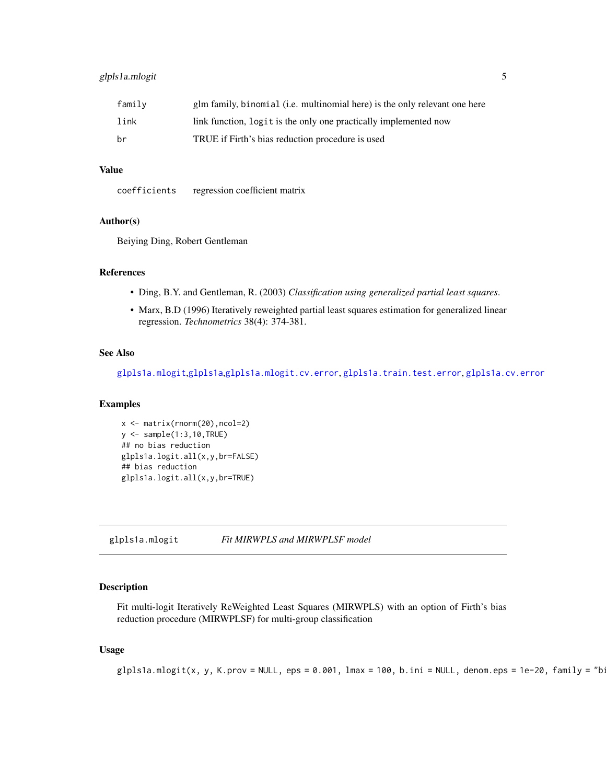#### <span id="page-4-0"></span>glpls1a.mlogit 5

| family | glm family, binomial (i.e. multinomial here) is the only relevant one here |
|--------|----------------------------------------------------------------------------|
| link   | link function, logit is the only one practically implemented now           |
| br     | TRUE if Firth's bias reduction procedure is used                           |

#### Value

coefficients regression coefficient matrix

#### Author(s)

Beiying Ding, Robert Gentleman

#### References

- Ding, B.Y. and Gentleman, R. (2003) *Classification using generalized partial least squares*.
- Marx, B.D (1996) Iteratively reweighted partial least squares estimation for generalized linear regression. *Technometrics* 38(4): 374-381.

#### See Also

[glpls1a.mlogit](#page-4-1),[glpls1a](#page-1-1),[glpls1a.mlogit.cv.error](#page-6-1), [glpls1a.train.test.error](#page-7-1), [glpls1a.cv.error](#page-2-1)

#### Examples

```
x <- matrix(rnorm(20),ncol=2)
y <- sample(1:3,10,TRUE)
## no bias reduction
glpls1a.logit.all(x,y,br=FALSE)
## bias reduction
glpls1a.logit.all(x,y,br=TRUE)
```
<span id="page-4-1"></span>glpls1a.mlogit *Fit MIRWPLS and MIRWPLSF model*

#### Description

Fit multi-logit Iteratively ReWeighted Least Squares (MIRWPLS) with an option of Firth's bias reduction procedure (MIRWPLSF) for multi-group classification

#### Usage

```
glpls1a.mlogit(x, y, K.prov = NULL, eps = 0.001, lmax = 100, b.ini = NULL, denom.eps = 1e-20, family = "b:
```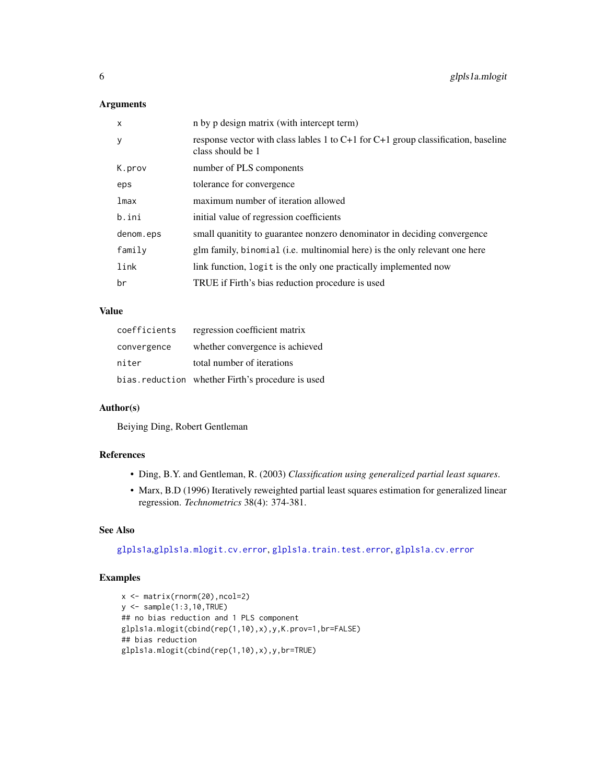#### <span id="page-5-0"></span>Arguments

| $\mathsf{x}$ | n by p design matrix (with intercept term)                                                                 |
|--------------|------------------------------------------------------------------------------------------------------------|
| y            | response vector with class lables 1 to $C+1$ for $C+1$ group classification, baseline<br>class should be 1 |
| K.prov       | number of PLS components                                                                                   |
| eps          | tolerance for convergence                                                                                  |
| lmax         | maximum number of iteration allowed                                                                        |
| b.ini        | initial value of regression coefficients                                                                   |
| denom.eps    | small quanitity to guarantee nonzero denominator in deciding convergence                                   |
| family       | glm family, binomial (i.e. multinomial here) is the only relevant one here                                 |
| link         | link function, logit is the only one practically implemented now                                           |
| br           | TRUE if Firth's bias reduction procedure is used                                                           |

#### Value

| coefficients | regression coefficient matrix                    |
|--------------|--------------------------------------------------|
| convergence  | whether convergence is achieved                  |
| niter        | total number of iterations                       |
|              | bias.reduction whether Firth's procedure is used |

#### Author(s)

Beiying Ding, Robert Gentleman

#### References

- Ding, B.Y. and Gentleman, R. (2003) *Classification using generalized partial least squares*.
- Marx, B.D (1996) Iteratively reweighted partial least squares estimation for generalized linear regression. *Technometrics* 38(4): 374-381.

#### See Also

[glpls1a](#page-1-1),[glpls1a.mlogit.cv.error](#page-6-1), [glpls1a.train.test.error](#page-7-1), [glpls1a.cv.error](#page-2-1)

#### Examples

```
x <- matrix(rnorm(20),ncol=2)
y <- sample(1:3,10,TRUE)
## no bias reduction and 1 PLS component
glpls1a.mlogit(cbind(rep(1,10),x),y,K.prov=1,br=FALSE)
## bias reduction
glpls1a.mlogit(cbind(rep(1,10),x),y,br=TRUE)
```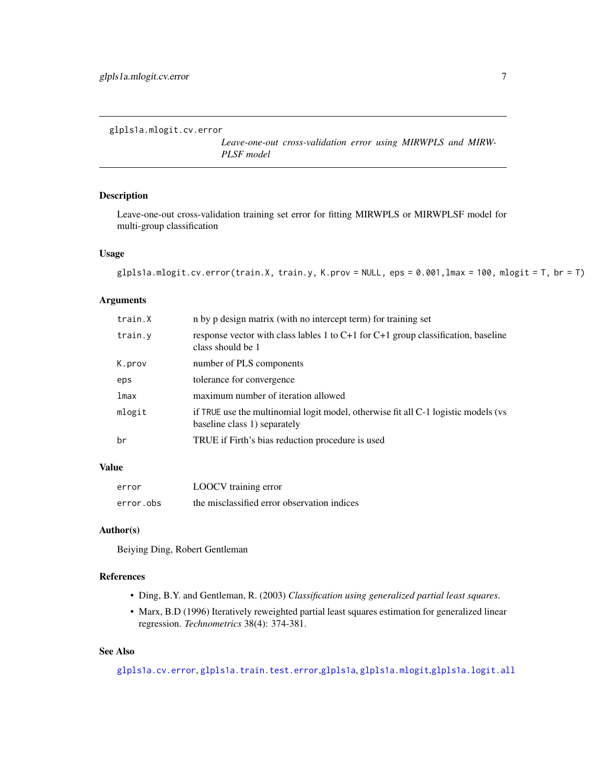<span id="page-6-1"></span><span id="page-6-0"></span>glpls1a.mlogit.cv.error

*Leave-one-out cross-validation error using MIRWPLS and MIRW-PLSF model*

#### Description

Leave-one-out cross-validation training set error for fitting MIRWPLS or MIRWPLSF model for multi-group classification

#### Usage

```
glpls1a.mlogit.cv.error(train.X, train.y, K.prov = NULL, eps = 0.001, lmax = 100, mlogit = T, br = T)
```
#### Arguments

| train.X | n by p design matrix (with no intercept term) for training set                                                     |
|---------|--------------------------------------------------------------------------------------------------------------------|
| train.y | response vector with class lables 1 to C+1 for C+1 group classification, baseline<br>class should be 1             |
| K.prov  | number of PLS components                                                                                           |
| eps     | tolerance for convergence                                                                                          |
| lmax    | maximum number of iteration allowed                                                                                |
| mlogit  | if TRUE use the multinomial logit model, otherwise fit all C-1 logistic models (vs<br>baseline class 1) separately |
| br      | TRUE if Firth's bias reduction procedure is used                                                                   |

#### Value

| error     | LOOCV training error                        |
|-----------|---------------------------------------------|
| error.obs | the misclassified error observation indices |

#### Author(s)

Beiying Ding, Robert Gentleman

#### References

- Ding, B.Y. and Gentleman, R. (2003) *Classification using generalized partial least squares*.
- Marx, B.D (1996) Iteratively reweighted partial least squares estimation for generalized linear regression. *Technometrics* 38(4): 374-381.

#### See Also

[glpls1a.cv.error](#page-2-1), [glpls1a.train.test.error](#page-7-1),[glpls1a](#page-1-1), [glpls1a.mlogit](#page-4-1),[glpls1a.logit.all](#page-3-1)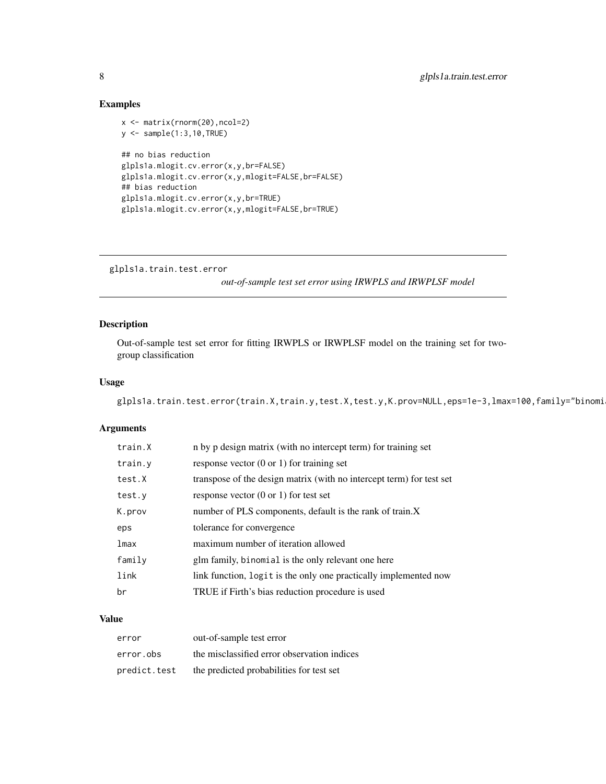#### Examples

```
x <- matrix(rnorm(20),ncol=2)
y <- sample(1:3,10,TRUE)
## no bias reduction
glpls1a.mlogit.cv.error(x,y,br=FALSE)
glpls1a.mlogit.cv.error(x,y,mlogit=FALSE,br=FALSE)
## bias reduction
glpls1a.mlogit.cv.error(x,y,br=TRUE)
glpls1a.mlogit.cv.error(x,y,mlogit=FALSE,br=TRUE)
```

```
glpls1a.train.test.error
```
*out-of-sample test set error using IRWPLS and IRWPLSF model*

#### Description

Out-of-sample test set error for fitting IRWPLS or IRWPLSF model on the training set for twogroup classification

#### Usage

```
glpls1a.train.test.error(train.X,train.y,test.X,test.y,K.prov=NULL,eps=1e-3,lmax=100,family="binomi
```
#### Arguments

| train.X | n by p design matrix (with no intercept term) for training set       |
|---------|----------------------------------------------------------------------|
| train.y | response vector $(0 \text{ or } 1)$ for training set                 |
| test.X  | transpose of the design matrix (with no intercept term) for test set |
| test.y  | response vector $(0 \text{ or } 1)$ for test set                     |
| K.prov  | number of PLS components, default is the rank of train.X             |
| eps     | tolerance for convergence                                            |
| lmax    | maximum number of iteration allowed                                  |
| family  | glm family, binomial is the only relevant one here                   |
| link    | link function, logit is the only one practically implemented now     |
| br      |                                                                      |

#### Value

| error        | out-of-sample test error                    |
|--------------|---------------------------------------------|
| error.obs    | the misclassified error observation indices |
| predict.test | the predicted probabilities for test set    |

<span id="page-7-0"></span>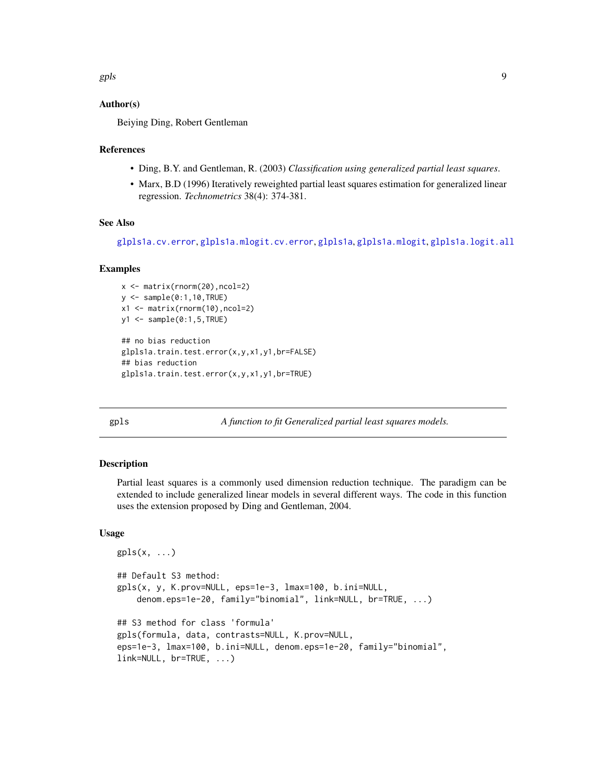#### <span id="page-8-0"></span>Author(s)

Beiying Ding, Robert Gentleman

#### References

- Ding, B.Y. and Gentleman, R. (2003) *Classification using generalized partial least squares*.
- Marx, B.D (1996) Iteratively reweighted partial least squares estimation for generalized linear regression. *Technometrics* 38(4): 374-381.

#### See Also

```
glpls1a.cv.error, glpls1a.mlogit.cv.error, glpls1a, glpls1a.mlogit, glpls1a.logit.all
```
#### Examples

```
x <- matrix(rnorm(20),ncol=2)
y \leftarrow sample(0:1,10,TRUE)
x1 <- matrix(rnorm(10),ncol=2)
y1 \leftarrow sample(0:1,5,TRUE)## no bias reduction
glpls1a.train.test.error(x,y,x1,y1,br=FALSE)
## bias reduction
glpls1a.train.test.error(x,y,x1,y1,br=TRUE)
```
<span id="page-8-1"></span>gpls *A function to fit Generalized partial least squares models.*

#### **Description**

Partial least squares is a commonly used dimension reduction technique. The paradigm can be extended to include generalized linear models in several different ways. The code in this function uses the extension proposed by Ding and Gentleman, 2004.

#### Usage

```
gpls(x, \ldots)## Default S3 method:
gpls(x, y, K.prov=NULL, eps=1e-3, lmax=100, b.ini=NULL,
    denom.eps=1e-20, family="binomial", link=NULL, br=TRUE, ...)
## S3 method for class 'formula'
gpls(formula, data, contrasts=NULL, K.prov=NULL,
eps=1e-3, lmax=100, b.ini=NULL, denom.eps=1e-20, family="binomial",
link=NULL, br=TRUE, ...)
```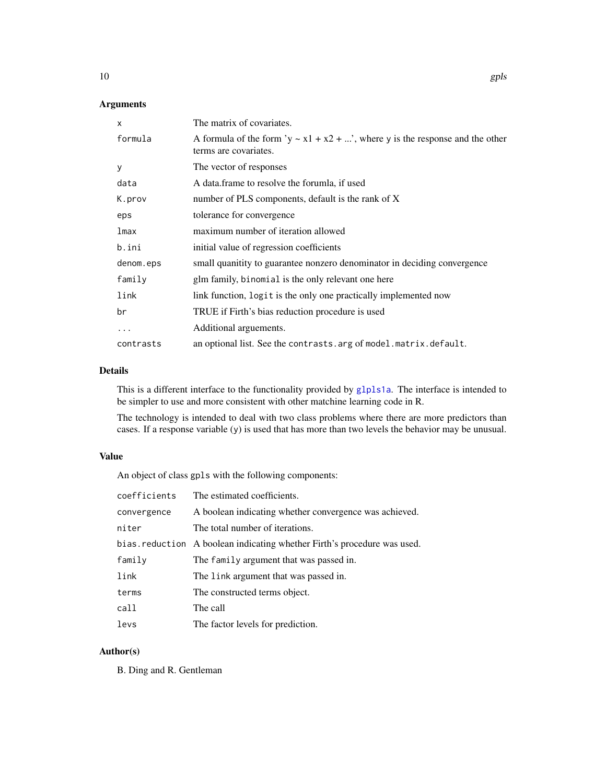#### Arguments

| $\mathsf{x}$ | The matrix of covariates.                                                                                    |
|--------------|--------------------------------------------------------------------------------------------------------------|
| formula      | A formula of the form 'y $\sim x1 + x2 + $ ', where y is the response and the other<br>terms are covariates. |
| y            | The vector of responses                                                                                      |
| data         | A data.frame to resolve the forumla, if used                                                                 |
| K.prov       | number of PLS components, default is the rank of X                                                           |
| eps          | tolerance for convergence                                                                                    |
| lmax         | maximum number of iteration allowed                                                                          |
| b.ini        | initial value of regression coefficients                                                                     |
| denom.eps    | small quanitity to guarantee nonzero denominator in deciding convergence                                     |
| family       | glm family, binomial is the only relevant one here                                                           |
| link         | link function, logit is the only one practically implemented now                                             |
| br           | TRUE if Firth's bias reduction procedure is used                                                             |
| .            | Additional arguements.                                                                                       |
| contrasts    | an optional list. See the contrasts arg of model matrix default.                                             |

#### Details

This is a different interface to the functionality provided by g1p1s1a. The interface is intended to be simpler to use and more consistent with other matchine learning code in R.

The technology is intended to deal with two class problems where there are more predictors than cases. If a response variable (y) is used that has more than two levels the behavior may be unusual.

#### Value

An object of class gpls with the following components:

| coefficients | The estimated coefficients.                                              |
|--------------|--------------------------------------------------------------------------|
| convergence  | A boolean indicating whether convergence was achieved.                   |
| niter        | The total number of iterations.                                          |
|              | bias. reduction A boolean indicating whether Firth's procedure was used. |
| family       | The family argument that was passed in.                                  |
| link         | The link argument that was passed in.                                    |
| terms        | The constructed terms object.                                            |
| call         | The call                                                                 |
| levs         | The factor levels for prediction.                                        |

#### Author(s)

B. Ding and R. Gentleman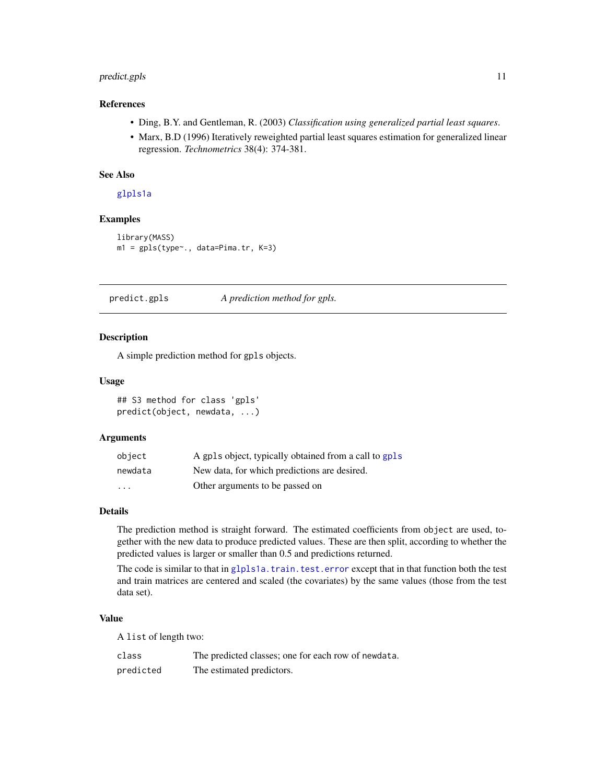#### <span id="page-10-0"></span>predict.gpls 11

#### References

- Ding, B.Y. and Gentleman, R. (2003) *Classification using generalized partial least squares*.
- Marx, B.D (1996) Iteratively reweighted partial least squares estimation for generalized linear regression. *Technometrics* 38(4): 374-381.

#### See Also

[glpls1a](#page-1-1)

#### Examples

```
library(MASS)
m1 = gpls(type~., data=Pima.tr, K=3)
```
predict.gpls *A prediction method for gpls.*

#### Description

A simple prediction method for gpls objects.

#### Usage

## S3 method for class 'gpls' predict(object, newdata, ...)

#### Arguments

| object                  | A gpls object, typically obtained from a call to gpls |
|-------------------------|-------------------------------------------------------|
| newdata                 | New data, for which predictions are desired.          |
| $\cdot$ $\cdot$ $\cdot$ | Other arguments to be passed on                       |

#### Details

The prediction method is straight forward. The estimated coefficients from object are used, together with the new data to produce predicted values. These are then split, according to whether the predicted values is larger or smaller than 0.5 and predictions returned.

The code is similar to that in [glpls1a.train.test.error](#page-7-1) except that in that function both the test and train matrices are centered and scaled (the covariates) by the same values (those from the test data set).

#### Value

A list of length two:

| class     | The predicted classes; one for each row of newdata. |
|-----------|-----------------------------------------------------|
| predicted | The estimated predictors.                           |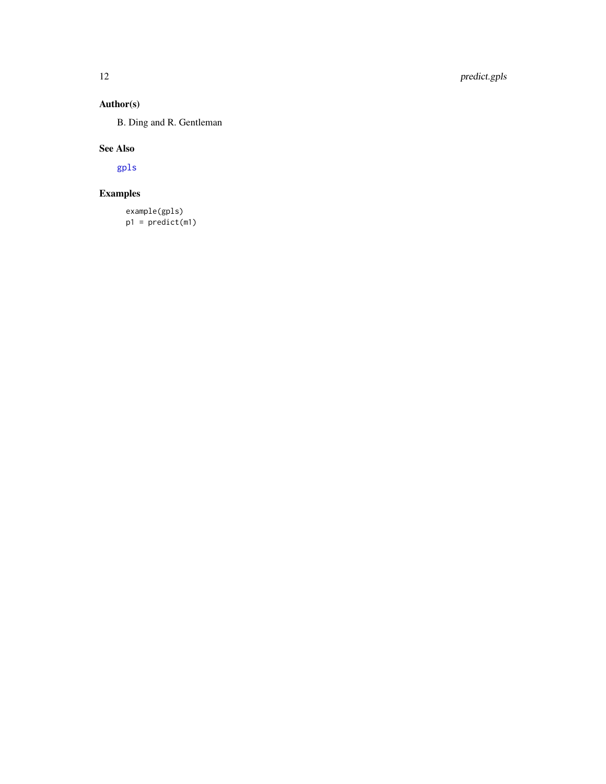#### <span id="page-11-0"></span>Author(s)

B. Ding and R. Gentleman

#### See Also

[gpls](#page-8-1)

### Examples

```
example(gpls)
p1 = predict(m1)
```